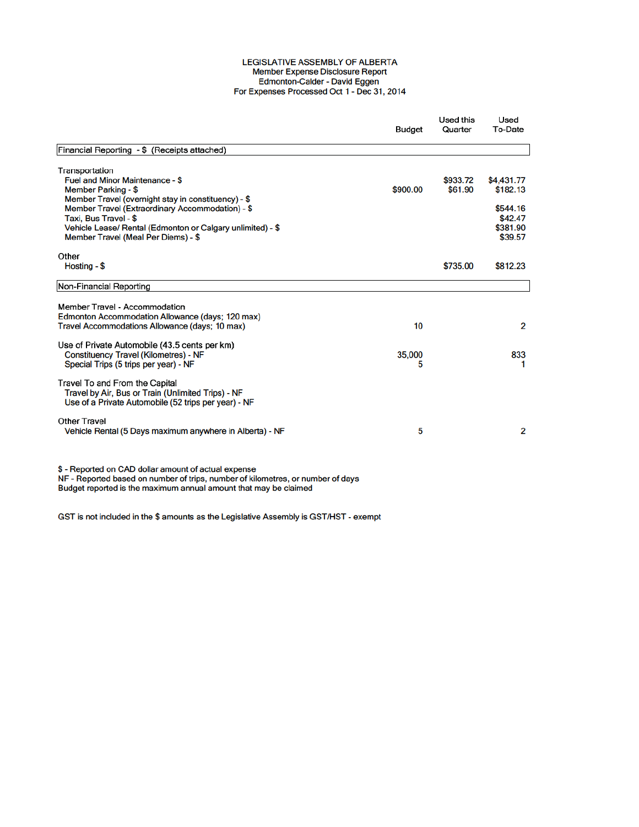## LEGISLATIVE ASSEMBLY OF ALBERTA Member Expense Disclosure Report Edmonton-Calder - David Eggen<br>For Expenses Processed Oct 1 - Dec 31, 2014

|                                                                                                                                         | Budget   | Used this<br>Quarter | Used<br>To-Date |
|-----------------------------------------------------------------------------------------------------------------------------------------|----------|----------------------|-----------------|
| Financial Reporting - \$ (Receipts attached)                                                                                            |          |                      |                 |
| Transportation                                                                                                                          |          |                      |                 |
| Fuel and Minor Maintenance - \$                                                                                                         |          | \$933.72             | \$4,431.77      |
| Member Parking - \$                                                                                                                     | \$900.00 | \$61.90              | \$182.13        |
| Member Travel (overnight stay in constituency) - \$                                                                                     |          |                      |                 |
| Member Travel (Extraordinary Accommodation) - \$                                                                                        |          |                      | \$544.16        |
| Taxi. Bus Travel - \$                                                                                                                   |          |                      | \$42.47         |
| Vehicle Lease/ Rental (Edmonton or Calgary unlimited) - \$                                                                              |          |                      | \$381.90        |
| Member Travel (Meal Per Diems) - \$                                                                                                     |          |                      | \$39.57         |
| Other                                                                                                                                   |          |                      |                 |
| Hosting - \$                                                                                                                            |          | \$735.00             | \$812.23        |
| Non-Financial Reporting                                                                                                                 |          |                      |                 |
|                                                                                                                                         |          |                      |                 |
| Member Travel - Accommodation                                                                                                           |          |                      |                 |
| Edmonton Accommodation Allowance (days; 120 max)                                                                                        |          |                      |                 |
| Travel Accommodations Allowance (days; 10 max)                                                                                          | 10       |                      | $\overline{2}$  |
| Use of Private Automobile (43.5 cents per km)                                                                                           |          |                      |                 |
| <b>Constituency Travel (Kilometres) - NF</b>                                                                                            | 35,000   |                      | 833             |
| Special Trips (5 trips per year) - NF                                                                                                   | 5        |                      | 1               |
| Travel To and From the Capital                                                                                                          |          |                      |                 |
| Travel by Air, Bus or Train (Unlimited Trips) - NF                                                                                      |          |                      |                 |
| Use of a Private Automobile (52 trips per year) - NF                                                                                    |          |                      |                 |
| Other Travel                                                                                                                            |          |                      |                 |
| Vehicle Rental (5 Days maximum anywhere in Alberta) - NF                                                                                | 5        |                      | 2               |
| \$ - Reported on CAD dollar amount of actual expense<br>NF - Reported based on number of trips, number of kilometres, or number of days |          |                      |                 |
| Budget reported is the maximum annual amount that may be claimed                                                                        |          |                      |                 |

Budget reported is the maximum annual amount that may be claimed

GST is not included in the \$ amounts as the Legislative Assembly is GST/HST - exempt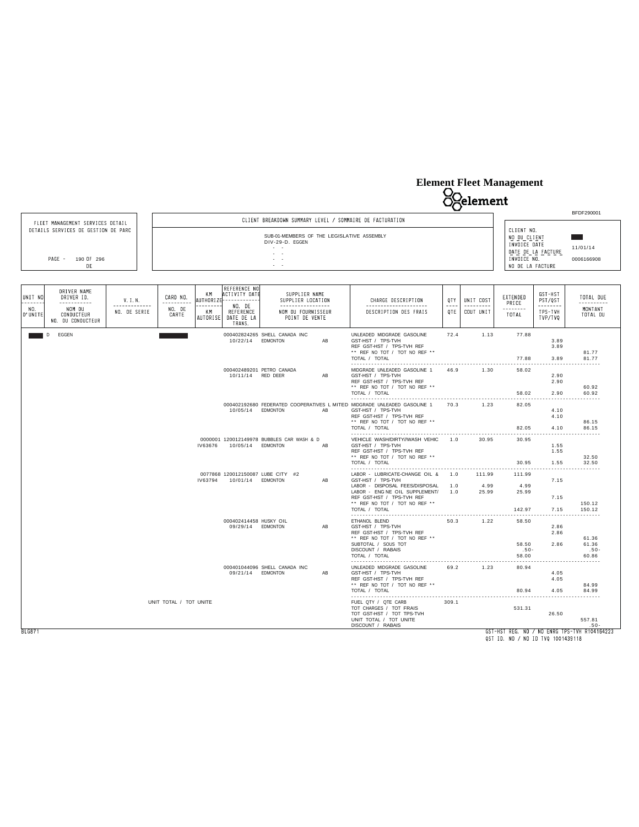# **Element Fleet Management**



QST ID. NO / NO ID TVQ 1001439118

BLG871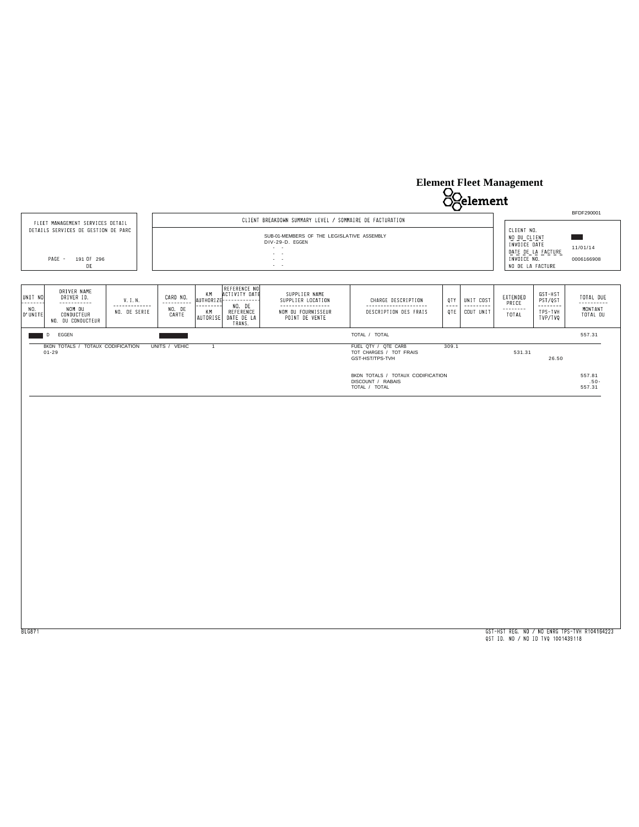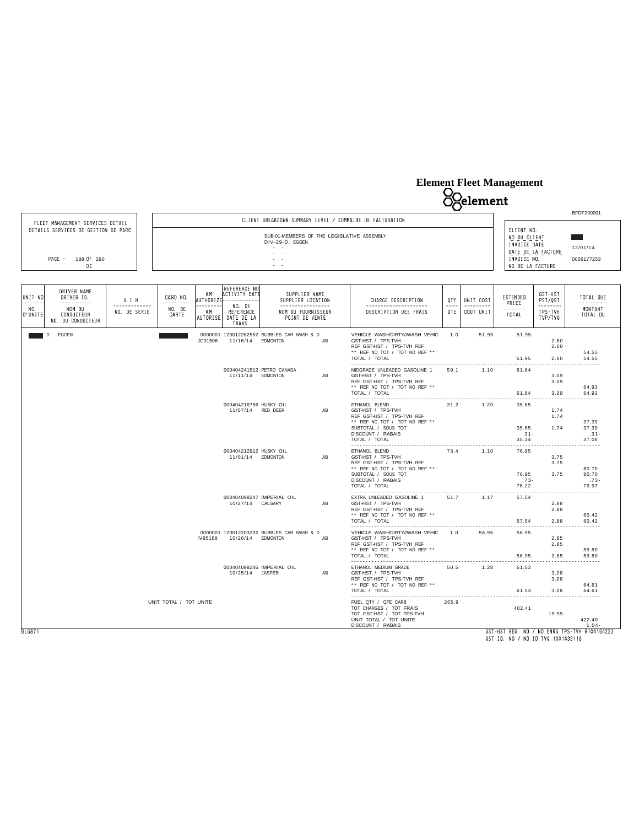# **Element Fleet Management**



BLG871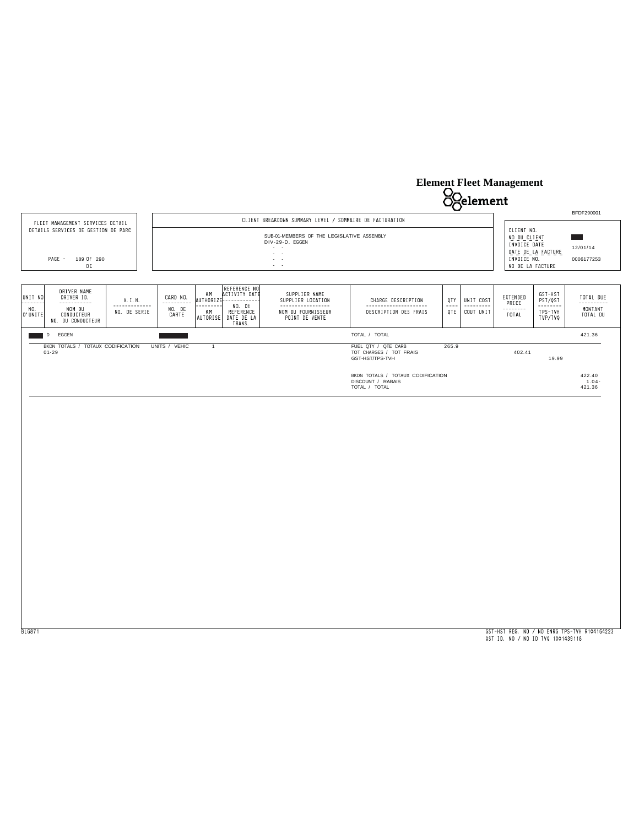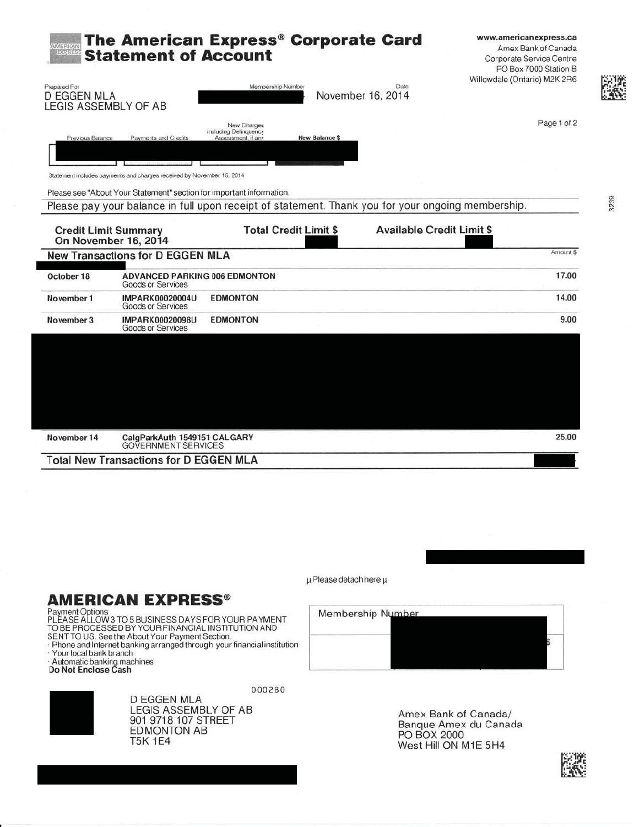| Milico<br>Perre<br>Prepared For            | <b>Statement of Account</b>                                                                       | The American Express® Corporate Card<br>Membership Number  |                       | Date                             | www.americanexpress.ca<br>Amex Bank of Canada<br>Corporate Service Centre<br>PO Box 7000 Station B<br>Willowdale (Ontario) M2K 2R6 |
|--------------------------------------------|---------------------------------------------------------------------------------------------------|------------------------------------------------------------|-----------------------|----------------------------------|------------------------------------------------------------------------------------------------------------------------------------|
| <b>D EGGEN MLA</b><br>LEGIS ASSEMBLY OF AB |                                                                                                   |                                                            |                       | November 16, 2014                |                                                                                                                                    |
| Previous Balance                           | Payments and Credits                                                                              | New Charges<br>including Delinquency<br>Assessment, if any | <b>New Balance \$</b> |                                  | Page 1 of 2                                                                                                                        |
|                                            |                                                                                                   |                                                            |                       |                                  |                                                                                                                                    |
|                                            | Statement includes payments and charges received by November 16, 2014                             |                                                            |                       |                                  |                                                                                                                                    |
|                                            | Please see "About Your Statement" section for important information.                              |                                                            |                       |                                  |                                                                                                                                    |
|                                            | Please pay your balance in full upon receipt of statement. Thank you for your ongoing membership. |                                                            |                       |                                  |                                                                                                                                    |
| <b>Credit Limit Summary</b>                | On November 16, 2014                                                                              | <b>Total Credit Limit \$</b>                               |                       | <b>Available Credit Limit \$</b> | Amount \$                                                                                                                          |
|                                            | <b>New Transactions for D EGGEN MLA</b>                                                           |                                                            |                       |                                  |                                                                                                                                    |
| October 18                                 | ADVANCED PARKING 006 EDMONTON<br>Goods or Services                                                |                                                            |                       |                                  | 17.00                                                                                                                              |
| November 1                                 | <b>IMPARK00020004U</b><br>Goods or Services                                                       | <b>EDMONTON</b>                                            |                       |                                  | 14.00                                                                                                                              |
| November 3                                 | <b>IMPARK00020098U</b><br>Goods or Services                                                       | <b>EDMONTON</b>                                            |                       |                                  | 9.00                                                                                                                               |
|                                            |                                                                                                   |                                                            |                       |                                  |                                                                                                                                    |
|                                            |                                                                                                   |                                                            |                       |                                  |                                                                                                                                    |
|                                            |                                                                                                   |                                                            |                       |                                  |                                                                                                                                    |
|                                            |                                                                                                   |                                                            |                       |                                  |                                                                                                                                    |
|                                            |                                                                                                   |                                                            |                       |                                  |                                                                                                                                    |

 $\mu$ Please detach here  $\mu$ 

# **AMERICAN EXPRESS®**

Payment Options<br>PLEASE ALLOW 3 TO 5 BUSINESS DAYS FOR YOUR PAYMENT<br>TO BE PROCESSED BY YOUR FINANCIAL INSTITUTION AND

**D EGGEN MLA** 

**EDMONTON AB** 

**T5K 1E4** 

SENT TO US. See the About Your Payment Section.

- · Phone and Internet banking arranged through your financial institution · Your local bank branch
- Automatic banking machines<br>Do Not Enclose Cash

000280 LEGIS ASSEMBLY OF AB<br>901 9718 107 STREET

Membership Number

Amex Bank of Canada/ Banque Amex du Canada PO BOX 2000 West Hill ON M1E 5H4



3239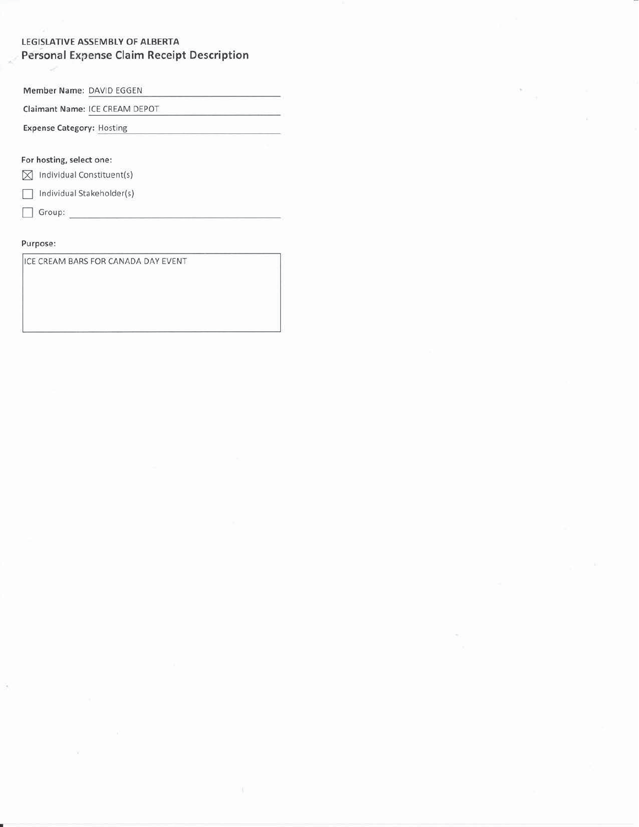### LEGISLATIVE ASSEMBLY OF ALBERTA **Personal Expense Claim Receipt Description**

Member Name: DAVID EGGEN

Claimant Name: ICE CREAM DEPOT

**Expense Category: Hosting** 

For hosting, select one:

 $\boxtimes$  Individual Constituent(s)

 $\Box$  Individual Stakeholder(s)

 $\Box$  Group:

### Purpose:

š

ICE CREAM BARS FOR CANADA DAY EVENT